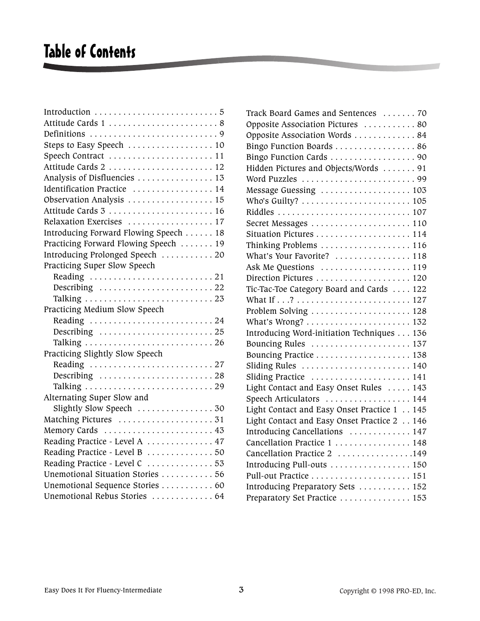## Table of Contents

| Track Board Games and Sentences  70                                         |
|-----------------------------------------------------------------------------|
| Opposite Association Pictures 80                                            |
| Opposite Association Words  84                                              |
| Bingo Function Boards  86                                                   |
| Bingo Function Cards 90                                                     |
| Hidden Pictures and Objects/Words  91                                       |
|                                                                             |
| Message Guessing  103                                                       |
| Who's Guilty? $\ldots \ldots \ldots \ldots \ldots \ldots \ldots \ldots 105$ |
|                                                                             |
|                                                                             |
|                                                                             |
| Thinking Problems  116                                                      |
| What's Your Favorite?  118                                                  |
|                                                                             |
|                                                                             |
| Tic-Tac-Toe Category Board and Cards  122                                   |
|                                                                             |
|                                                                             |
|                                                                             |
| Introducing Word-initiation Techniques 136                                  |
| Bouncing Rules  137                                                         |
|                                                                             |
| Sliding Rules  140                                                          |
| Sliding Practice  141                                                       |
| Light Contact and Easy Onset Rules  143                                     |
| Speech Articulators  144                                                    |
| Light Contact and Easy Onset Practice 1 145                                 |
| Light Contact and Easy Onset Practice 2 146                                 |
| Introducing Cancellations  147                                              |
| Cancellation Practice 1  148                                                |
| Cancellation Practice 2 149                                                 |
| Introducing Pull-outs  150                                                  |
| Pull-out Practice  151                                                      |
| Introducing Preparatory Sets  152                                           |
| Preparatory Set Practice  153                                               |